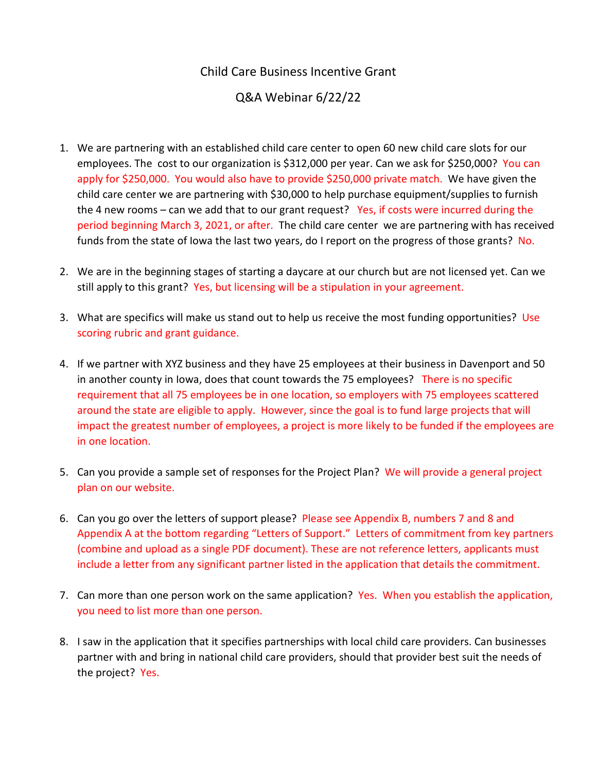## Child Care Business Incentive Grant

## Q&A Webinar 6/22/22

- 1. We are partnering with an established child care center to open 60 new child care slots for our employees. The cost to our organization is \$312,000 per year. Can we ask for \$250,000? You can apply for \$250,000. You would also have to provide \$250,000 private match. We have given the child care center we are partnering with \$30,000 to help purchase equipment/supplies to furnish the 4 new rooms – can we add that to our grant request? Yes, if costs were incurred during the period beginning March 3, 2021, or after. The child care center we are partnering with has received funds from the state of lowa the last two years, do I report on the progress of those grants? No.
- 2. We are in the beginning stages of starting a daycare at our church but are not licensed yet. Can we still apply to this grant? Yes, but licensing will be a stipulation in your agreement.
- 3. What are specifics will make us stand out to help us receive the most funding opportunities? Use scoring rubric and grant guidance.
- 4. If we partner with XYZ business and they have 25 employees at their business in Davenport and 50 in another county in Iowa, does that count towards the 75 employees? There is no specific requirement that all 75 employees be in one location, so employers with 75 employees scattered around the state are eligible to apply. However, since the goal is to fund large projects that will impact the greatest number of employees, a project is more likely to be funded if the employees are in one location.
- 5. Can you provide a sample set of responses for the Project Plan? We will provide a general project plan on our website.
- 6. Can you go over the letters of support please? Please see Appendix B, numbers 7 and 8 and Appendix A at the bottom regarding "Letters of Support." Letters of commitment from key partners (combine and upload as a single PDF document). These are not reference letters, applicants must include a letter from any significant partner listed in the application that details the commitment.
- 7. Can more than one person work on the same application? Yes. When you establish the application, you need to list more than one person.
- 8. I saw in the application that it specifies partnerships with local child care providers. Can businesses partner with and bring in national child care providers, should that provider best suit the needs of the project? Yes.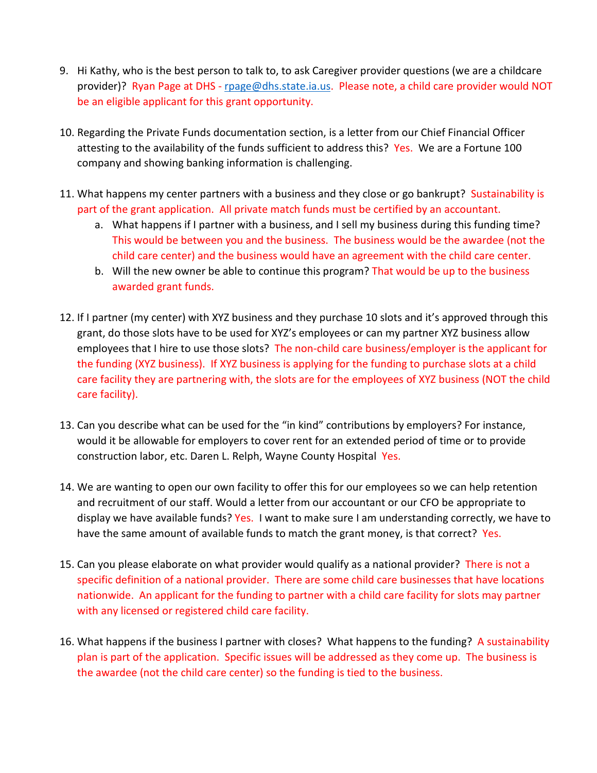- 9. Hi Kathy, who is the best person to talk to, to ask Caregiver provider questions (we are a childcare provider)? Ryan Page at DHS - [rpage@dhs.state.ia.us.](mailto:rpage@dhs.state.ia.us) Please note, a child care provider would NOT be an eligible applicant for this grant opportunity.
- 10. Regarding the Private Funds documentation section, is a letter from our Chief Financial Officer attesting to the availability of the funds sufficient to address this? Yes. We are a Fortune 100 company and showing banking information is challenging.
- 11. What happens my center partners with a business and they close or go bankrupt? Sustainability is part of the grant application. All private match funds must be certified by an accountant.
	- a. What happens if I partner with a business, and I sell my business during this funding time? This would be between you and the business. The business would be the awardee (not the child care center) and the business would have an agreement with the child care center.
	- b. Will the new owner be able to continue this program? That would be up to the business awarded grant funds.
- 12. If I partner (my center) with XYZ business and they purchase 10 slots and it's approved through this grant, do those slots have to be used for XYZ's employees or can my partner XYZ business allow employees that I hire to use those slots? The non-child care business/employer is the applicant for the funding (XYZ business). If XYZ business is applying for the funding to purchase slots at a child care facility they are partnering with, the slots are for the employees of XYZ business (NOT the child care facility).
- 13. Can you describe what can be used for the "in kind" contributions by employers? For instance, would it be allowable for employers to cover rent for an extended period of time or to provide construction labor, etc. Daren L. Relph, Wayne County Hospital Yes.
- 14. We are wanting to open our own facility to offer this for our employees so we can help retention and recruitment of our staff. Would a letter from our accountant or our CFO be appropriate to display we have available funds? Yes. I want to make sure I am understanding correctly, we have to have the same amount of available funds to match the grant money, is that correct? Yes.
- 15. Can you please elaborate on what provider would qualify as a national provider? There is not a specific definition of a national provider. There are some child care businesses that have locations nationwide. An applicant for the funding to partner with a child care facility for slots may partner with any licensed or registered child care facility.
- 16. What happens if the business I partner with closes? What happens to the funding? A sustainability plan is part of the application. Specific issues will be addressed as they come up. The business is the awardee (not the child care center) so the funding is tied to the business.